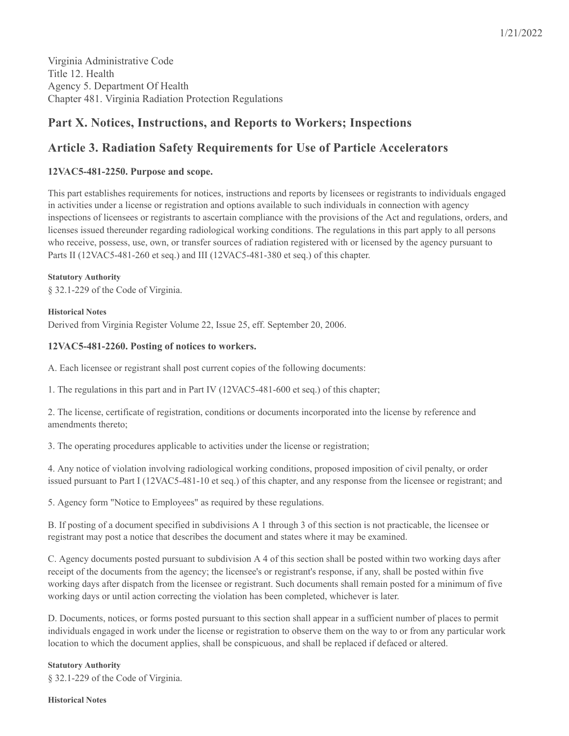1/21/2022

Virginia Administrative Code Title 12. Health Agency 5. Department Of Health Chapter 481. Virginia Radiation Protection Regulations

# **Part X. Notices, Instructions, and Reports to Workers; Inspections**

# **Article 3. Radiation Safety Requirements for Use of Particle Accelerators**

# **12VAC5-481-2250. Purpose and scope.**

This part establishes requirements for notices, instructions and reports by licensees or registrants to individuals engaged in activities under a license or registration and options available to such individuals in connection with agency inspections of licensees or registrants to ascertain compliance with the provisions of the Act and regulations, orders, and licenses issued thereunder regarding radiological working conditions. The regulations in this part apply to all persons who receive, possess, use, own, or transfer sources of radiation registered with or licensed by the agency pursuant to Parts II (12VAC5-481-260 et seq.) and III (12VAC5-481-380 et seq.) of this chapter.

**Statutory Authority** § 32.1-229 of the Code of Virginia.

**Historical Notes** Derived from Virginia Register Volume 22, Issue 25, eff. September 20, 2006.

## **12VAC5-481-2260. Posting of notices to workers.**

A. Each licensee or registrant shall post current copies of the following documents:

1. The regulations in this part and in Part IV (12VAC5-481-600 et seq.) of this chapter;

2. The license, certificate of registration, conditions or documents incorporated into the license by reference and amendments thereto;

3. The operating procedures applicable to activities under the license or registration;

4. Any notice of violation involving radiological working conditions, proposed imposition of civil penalty, or order issued pursuant to Part I (12VAC5-481-10 et seq.) of this chapter, and any response from the licensee or registrant; and

5. Agency form "Notice to Employees" as required by these regulations.

B. If posting of a document specified in subdivisions A 1 through 3 of this section is not practicable, the licensee or registrant may post a notice that describes the document and states where it may be examined.

C. Agency documents posted pursuant to subdivision A 4 of this section shall be posted within two working days after receipt of the documents from the agency; the licensee's or registrant's response, if any, shall be posted within five working days after dispatch from the licensee or registrant. Such documents shall remain posted for a minimum of five working days or until action correcting the violation has been completed, whichever is later.

D. Documents, notices, or forms posted pursuant to this section shall appear in a sufficient number of places to permit individuals engaged in work under the license or registration to observe them on the way to or from any particular work location to which the document applies, shall be conspicuous, and shall be replaced if defaced or altered.

## **Statutory Authority**

§ 32.1-229 of the Code of Virginia.

#### **Historical Notes**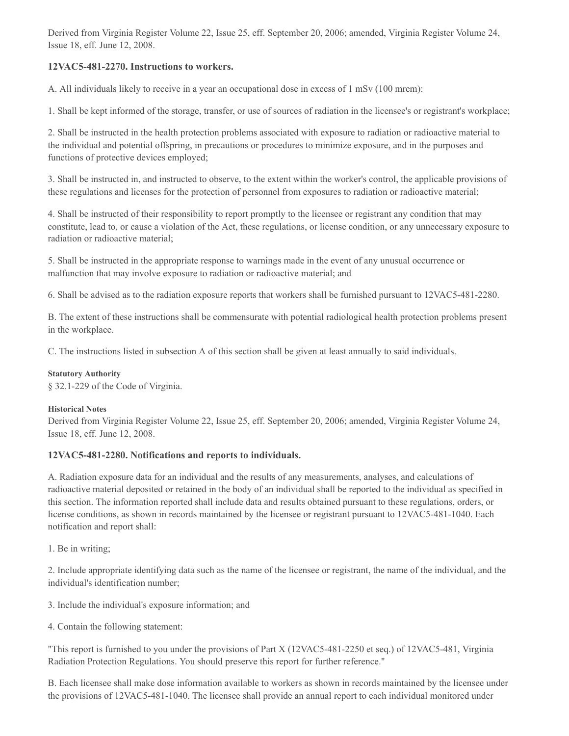Derived from Virginia Register Volume 22, Issue 25, eff. September 20, 2006; amended, Virginia Register Volume 24, Issue 18, eff. June 12, 2008.

## **12VAC5-481-2270. Instructions to workers.**

A. All individuals likely to receive in a year an occupational dose in excess of 1 mSv (100 mrem):

1. Shall be kept informed of the storage, transfer, or use of sources of radiation in the licensee's or registrant's workplace;

2. Shall be instructed in the health protection problems associated with exposure to radiation or radioactive material to the individual and potential offspring, in precautions or procedures to minimize exposure, and in the purposes and functions of protective devices employed;

3. Shall be instructed in, and instructed to observe, to the extent within the worker's control, the applicable provisions of these regulations and licenses for the protection of personnel from exposures to radiation or radioactive material;

4. Shall be instructed of their responsibility to report promptly to the licensee or registrant any condition that may constitute, lead to, or cause a violation of the Act, these regulations, or license condition, or any unnecessary exposure to radiation or radioactive material;

5. Shall be instructed in the appropriate response to warnings made in the event of any unusual occurrence or malfunction that may involve exposure to radiation or radioactive material; and

6. Shall be advised as to the radiation exposure reports that workers shall be furnished pursuant to 12VAC5-481-2280.

B. The extent of these instructions shall be commensurate with potential radiological health protection problems present in the workplace.

C. The instructions listed in subsection A of this section shall be given at least annually to said individuals.

#### **Statutory Authority**

§ 32.1-229 of the Code of Virginia.

#### **Historical Notes**

Derived from Virginia Register Volume 22, Issue 25, eff. September 20, 2006; amended, Virginia Register Volume 24, Issue 18, eff. June 12, 2008.

## **12VAC5-481-2280. Notifications and reports to individuals.**

A. Radiation exposure data for an individual and the results of any measurements, analyses, and calculations of radioactive material deposited or retained in the body of an individual shall be reported to the individual as specified in this section. The information reported shall include data and results obtained pursuant to these regulations, orders, or license conditions, as shown in records maintained by the licensee or registrant pursuant to 12VAC5-481-1040. Each notification and report shall:

1. Be in writing;

2. Include appropriate identifying data such as the name of the licensee or registrant, the name of the individual, and the individual's identification number;

3. Include the individual's exposure information; and

4. Contain the following statement:

"This report is furnished to you under the provisions of Part X (12VAC5-481-2250 et seq.) of 12VAC5-481, Virginia Radiation Protection Regulations. You should preserve this report for further reference."

B. Each licensee shall make dose information available to workers as shown in records maintained by the licensee under the provisions of 12VAC5-481-1040. The licensee shall provide an annual report to each individual monitored under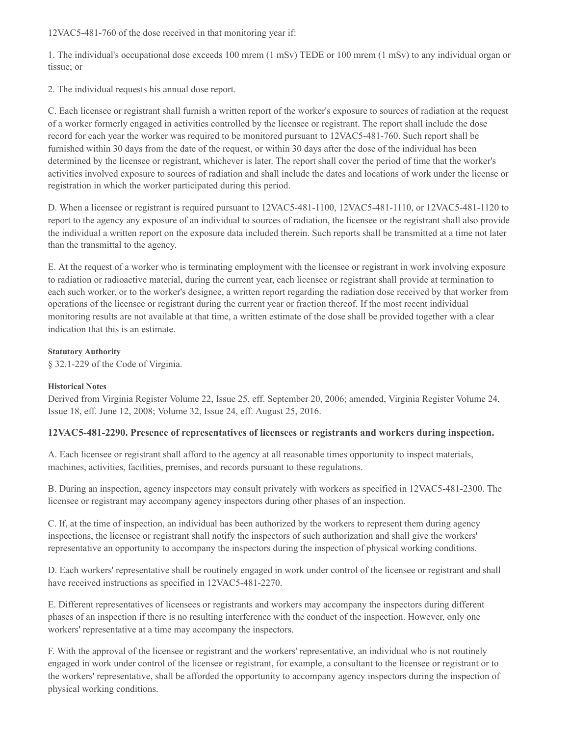12VAC5-481-760 of the dose received in that monitoring year if:

1. The individual's occupational dose exceeds 100 mrem (1 mSv) TEDE or 100 mrem (1 mSv) to any individual organ or tissue; or

2. The individual requests his annual dose report.

C. Each licensee or registrant shall furnish a written report of the worker's exposure to sources of radiation at the request of a worker formerly engaged in activities controlled by the licensee or registrant. The report shall include the dose record for each year the worker was required to be monitored pursuant to 12VAC5-481-760. Such report shall be furnished within 30 days from the date of the request, or within 30 days after the dose of the individual has been determined by the licensee or registrant, whichever is later. The report shall cover the period of time that the worker's activities involved exposure to sources of radiation and shall include the dates and locations of work under the license or registration in which the worker participated during this period.

D. When a licensee or registrant is required pursuant to 12VAC5-481-1100, 12VAC5-481-1110, or 12VAC5-481-1120 to report to the agency any exposure of an individual to sources of radiation, the licensee or the registrant shall also provide the individual a written report on the exposure data included therein. Such reports shall be transmitted at a time not later than the transmittal to the agency.

E. At the request of a worker who is terminating employment with the licensee or registrant in work involving exposure to radiation or radioactive material, during the current year, each licensee or registrant shall provide at termination to each such worker, or to the worker's designee, a written report regarding the radiation dose received by that worker from operations of the licensee or registrant during the current year or fraction thereof. If the most recent individual monitoring results are not available at that time, a written estimate of the dose shall be provided together with a clear indication that this is an estimate.

#### **Statutory Authority**

§ 32.1-229 of the Code of Virginia.

#### **Historical Notes**

Derived from Virginia Register Volume 22, Issue 25, eff. September 20, 2006; amended, Virginia Register Volume 24, Issue 18, eff. June 12, 2008; Volume 32, Issue 24, eff. August 25, 2016.

## **12VAC5-481-2290. Presence of representatives of licensees or registrants and workers during inspection.**

A. Each licensee or registrant shall afford to the agency at all reasonable times opportunity to inspect materials, machines, activities, facilities, premises, and records pursuant to these regulations.

B. During an inspection, agency inspectors may consult privately with workers as specified in 12VAC5-481-2300. The licensee or registrant may accompany agency inspectors during other phases of an inspection.

C. If, at the time of inspection, an individual has been authorized by the workers to represent them during agency inspections, the licensee or registrant shall notify the inspectors of such authorization and shall give the workers' representative an opportunity to accompany the inspectors during the inspection of physical working conditions.

D. Each workers' representative shall be routinely engaged in work under control of the licensee or registrant and shall have received instructions as specified in 12VAC5-481-2270.

E. Different representatives of licensees or registrants and workers may accompany the inspectors during different phases of an inspection if there is no resulting interference with the conduct of the inspection. However, only one workers' representative at a time may accompany the inspectors.

F. With the approval of the licensee or registrant and the workers' representative, an individual who is not routinely engaged in work under control of the licensee or registrant, for example, a consultant to the licensee or registrant or to the workers' representative, shall be afforded the opportunity to accompany agency inspectors during the inspection of physical working conditions.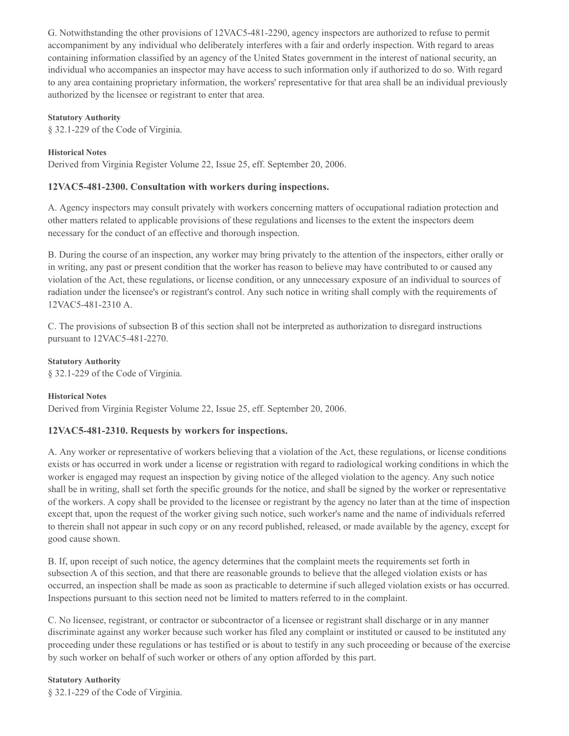G. Notwithstanding the other provisions of 12VAC5-481-2290, agency inspectors are authorized to refuse to permit accompaniment by any individual who deliberately interferes with a fair and orderly inspection. With regard to areas containing information classified by an agency of the United States government in the interest of national security, an individual who accompanies an inspector may have access to such information only if authorized to do so. With regard to any area containing proprietary information, the workers' representative for that area shall be an individual previously authorized by the licensee or registrant to enter that area.

## **Statutory Authority**

§ 32.1-229 of the Code of Virginia.

## **Historical Notes**

Derived from Virginia Register Volume 22, Issue 25, eff. September 20, 2006.

## **12VAC5-481-2300. Consultation with workers during inspections.**

A. Agency inspectors may consult privately with workers concerning matters of occupational radiation protection and other matters related to applicable provisions of these regulations and licenses to the extent the inspectors deem necessary for the conduct of an effective and thorough inspection.

B. During the course of an inspection, any worker may bring privately to the attention of the inspectors, either orally or in writing, any past or present condition that the worker has reason to believe may have contributed to or caused any violation of the Act, these regulations, or license condition, or any unnecessary exposure of an individual to sources of radiation under the licensee's or registrant's control. Any such notice in writing shall comply with the requirements of 12VAC5-481-2310 A.

C. The provisions of subsection B of this section shall not be interpreted as authorization to disregard instructions pursuant to 12VAC5-481-2270.

**Statutory Authority** § 32.1-229 of the Code of Virginia.

## **Historical Notes**

Derived from Virginia Register Volume 22, Issue 25, eff. September 20, 2006.

## **12VAC5-481-2310. Requests by workers for inspections.**

A. Any worker or representative of workers believing that a violation of the Act, these regulations, or license conditions exists or has occurred in work under a license or registration with regard to radiological working conditions in which the worker is engaged may request an inspection by giving notice of the alleged violation to the agency. Any such notice shall be in writing, shall set forth the specific grounds for the notice, and shall be signed by the worker or representative of the workers. A copy shall be provided to the licensee or registrant by the agency no later than at the time of inspection except that, upon the request of the worker giving such notice, such worker's name and the name of individuals referred to therein shall not appear in such copy or on any record published, released, or made available by the agency, except for good cause shown.

B. If, upon receipt of such notice, the agency determines that the complaint meets the requirements set forth in subsection A of this section, and that there are reasonable grounds to believe that the alleged violation exists or has occurred, an inspection shall be made as soon as practicable to determine if such alleged violation exists or has occurred. Inspections pursuant to this section need not be limited to matters referred to in the complaint.

C. No licensee, registrant, or contractor or subcontractor of a licensee or registrant shall discharge or in any manner discriminate against any worker because such worker has filed any complaint or instituted or caused to be instituted any proceeding under these regulations or has testified or is about to testify in any such proceeding or because of the exercise by such worker on behalf of such worker or others of any option afforded by this part.

#### **Statutory Authority**

§ 32.1-229 of the Code of Virginia.